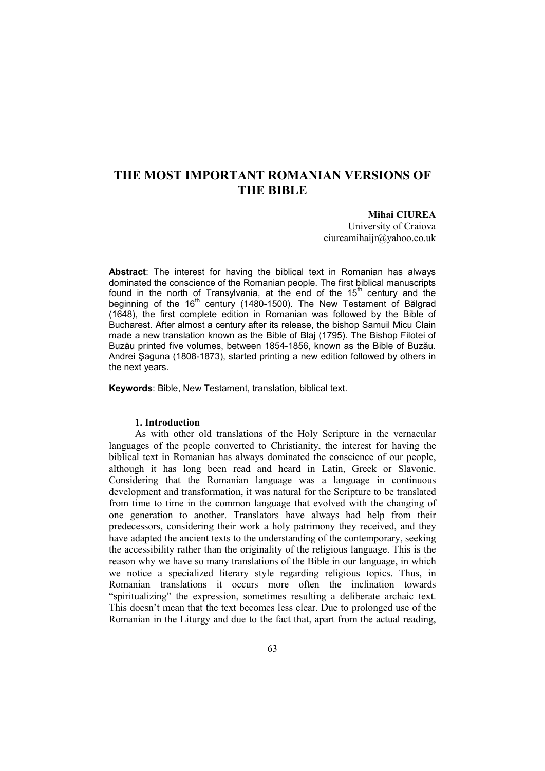# **THE MOST IMPORTANT ROMANIAN VERSIONS OF THE BIBLE**

**Mihai CIUREA** 

University of Craiova ciureamihaijr@yahoo.co.uk

**Abstract**: The interest for having the biblical text in Romanian has always dominated the conscience of the Romanian people. The first biblical manuscripts found in the north of Transylvania, at the end of the 15<sup>th</sup> century and the beginning of the  $16<sup>th</sup>$  century (1480-1500). The New Testament of Bălgrad (1648), the first complete edition in Romanian was followed by the Bible of Bucharest. After almost a century after its release, the bishop Samuil Micu Clain made a new translation known as the Bible of Blaj (1795). The Bishop Filotei of Buzău printed five volumes, between 1854-1856, known as the Bible of Buzău. Andrei Şaguna (1808-1873), started printing a new edition followed by others in the next years.

**Keywords**: Bible, New Testament, translation, biblical text.

#### **1. Introduction**

As with other old translations of the Holy Scripture in the vernacular languages of the people converted to Christianity, the interest for having the biblical text in Romanian has always dominated the conscience of our people, although it has long been read and heard in Latin, Greek or Slavonic. Considering that the Romanian language was a language in continuous development and transformation, it was natural for the Scripture to be translated from time to time in the common language that evolved with the changing of one generation to another. Translators have always had help from their predecessors, considering their work a holy patrimony they received, and they have adapted the ancient texts to the understanding of the contemporary, seeking the accessibility rather than the originality of the religious language. This is the reason why we have so many translations of the Bible in our language, in which we notice a specialized literary style regarding religious topics. Thus, in Romanian translations it occurs more often the inclination towards "spiritualizing" the expression, sometimes resulting a deliberate archaic text. This doesn't mean that the text becomes less clear. Due to prolonged use of the Romanian in the Liturgy and due to the fact that, apart from the actual reading,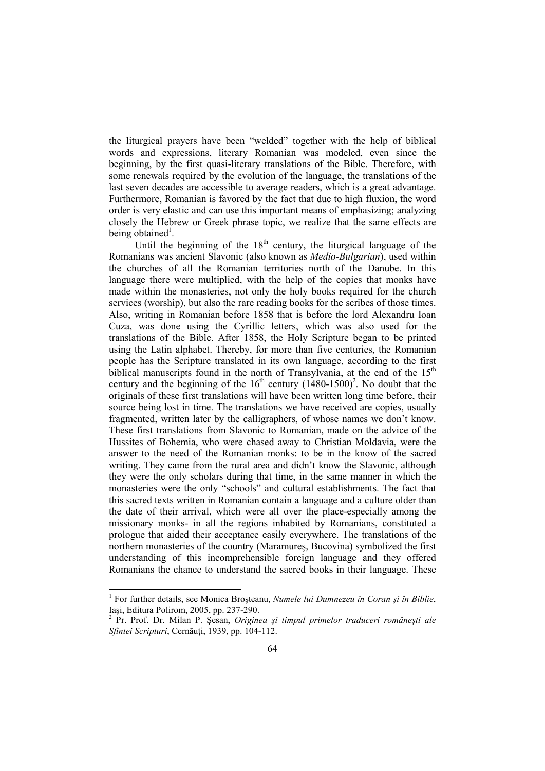the liturgical prayers have been "welded" together with the help of biblical words and expressions, literary Romanian was modeled, even since the beginning, by the first quasi-literary translations of the Bible. Therefore, with some renewals required by the evolution of the language, the translations of the last seven decades are accessible to average readers, which is a great advantage. Furthermore, Romanian is favored by the fact that due to high fluxion, the word order is very elastic and can use this important means of emphasizing; analyzing closely the Hebrew or Greek phrase topic, we realize that the same effects are being obtained<sup>1</sup>.

Until the beginning of the  $18<sup>th</sup>$  century, the liturgical language of the Romanians was ancient Slavonic (also known as *Medio-Bulgarian*), used within the churches of all the Romanian territories north of the Danube. In this language there were multiplied, with the help of the copies that monks have made within the monasteries, not only the holy books required for the church services (worship), but also the rare reading books for the scribes of those times. Also, writing in Romanian before 1858 that is before the lord Alexandru Ioan Cuza, was done using the Cyrillic letters, which was also used for the translations of the Bible. After 1858, the Holy Scripture began to be printed using the Latin alphabet. Thereby, for more than five centuries, the Romanian people has the Scripture translated in its own language, according to the first biblical manuscripts found in the north of Transylvania, at the end of the  $15<sup>th</sup>$ century and the beginning of the  $16<sup>th</sup>$  century  $(1480-1500)^2$ . No doubt that the originals of these first translations will have been written long time before, their source being lost in time. The translations we have received are copies, usually fragmented, written later by the calligraphers, of whose names we don't know. These first translations from Slavonic to Romanian, made on the advice of the Hussites of Bohemia, who were chased away to Christian Moldavia, were the answer to the need of the Romanian monks: to be in the know of the sacred writing. They came from the rural area and didn't know the Slavonic, although they were the only scholars during that time, in the same manner in which the monasteries were the only "schools" and cultural establishments. The fact that this sacred texts written in Romanian contain a language and a culture older than the date of their arrival, which were all over the place-especially among the missionary monks- in all the regions inhabited by Romanians, constituted a prologue that aided their acceptance easily everywhere. The translations of the northern monasteries of the country (Maramureş, Bucovina) symbolized the first understanding of this incomprehensible foreign language and they offered Romanians the chance to understand the sacred books in their language. These

 1 For further details, see Monica Broşteanu, *Numele lui Dumnezeu în Coran şi în Biblie*,

Iaşi, Editura Polirom, 2005, pp. 237-290. 2 Pr. Prof. Dr. Milan P. Şesan, *Originea şi timpul primelor traduceri româneşti ale Sfintei Scripturi*, Cernăuți, 1939, pp. 104-112.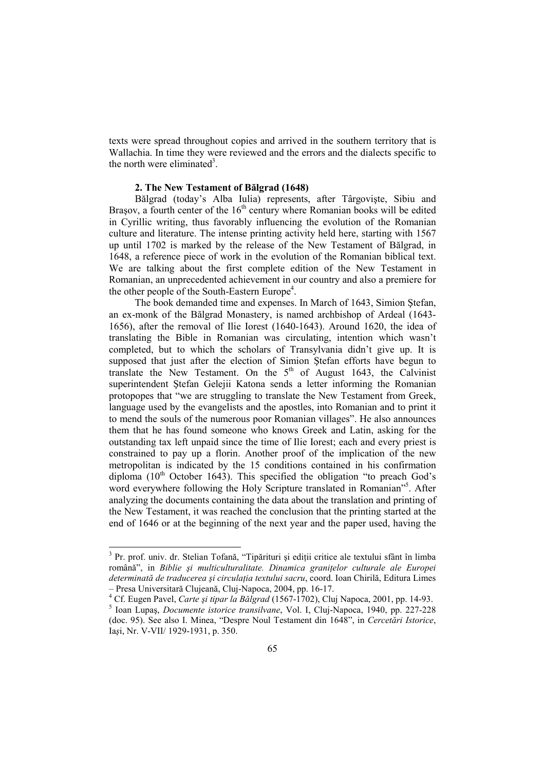texts were spread throughout copies and arrived in the southern territory that is Wallachia. In time they were reviewed and the errors and the dialects specific to the north were eliminated<sup>3</sup>.

# **2. The New Testament of Bălgrad (1648)**

Bălgrad (today's Alba Iulia) represents, after Târgovişte, Sibiu and Brasov, a fourth center of the  $16<sup>th</sup>$  century where Romanian books will be edited in Cyrillic writing, thus favorably influencing the evolution of the Romanian culture and literature. The intense printing activity held here, starting with 1567 up until 1702 is marked by the release of the New Testament of Bălgrad, in 1648, a reference piece of work in the evolution of the Romanian biblical text. We are talking about the first complete edition of the New Testament in Romanian, an unprecedented achievement in our country and also a premiere for the other people of the South-Eastern Europe<sup>4</sup>.

The book demanded time and expenses. In March of 1643, Simion Ştefan, an ex-monk of the Bălgrad Monastery, is named archbishop of Ardeal (1643- 1656), after the removal of Ilie Iorest (1640-1643). Around 1620, the idea of translating the Bible in Romanian was circulating, intention which wasn't completed, but to which the scholars of Transylvania didn't give up. It is supposed that just after the election of Simion Ştefan efforts have begun to translate the New Testament. On the  $5<sup>th</sup>$  of August 1643, the Calvinist superintendent Ştefan Gelejii Katona sends a letter informing the Romanian protopopes that "we are struggling to translate the New Testament from Greek, language used by the evangelists and the apostles, into Romanian and to print it to mend the souls of the numerous poor Romanian villages". He also announces them that he has found someone who knows Greek and Latin, asking for the outstanding tax left unpaid since the time of Ilie Iorest; each and every priest is constrained to pay up a florin. Another proof of the implication of the new metropolitan is indicated by the 15 conditions contained in his confirmation diploma  $(10<sup>th</sup>$  October 1643). This specified the obligation "to preach God's word everywhere following the Holy Scripture translated in Romanian"<sup>5</sup>. After analyzing the documents containing the data about the translation and printing of the New Testament, it was reached the conclusion that the printing started at the end of 1646 or at the beginning of the next year and the paper used, having the

<sup>&</sup>lt;sup>3</sup> Pr. prof. univ. dr. Stelian Tofană, "Tipărituri și ediții critice ale textului sfânt în limba română", in *Biblie și multiculturalitate. Dinamica granitelor culturale ale Europei* determinată de traducerea și circulatia textului sacru, coord. Ioan Chirilă, Editura Limes – Presa Universitară Clujeană, Cluj-Napoca, 2004, pp. 16-17.

<sup>4</sup> Cf. Eugen Pavel, *Carte şi tipar la Bălgrad* (1567-1702), Cluj Napoca, 2001, pp. 14-93.

<sup>5</sup> Ioan Lupaş, *Documente istorice transilvane*, Vol. I, Cluj-Napoca, 1940, pp. 227-228 (doc. 95). See also I. Minea, "Despre Noul Testament din 1648", in *Cercetări Istorice*, Ia*ş*i, Nr. V-VII/ 1929-1931, p. 350.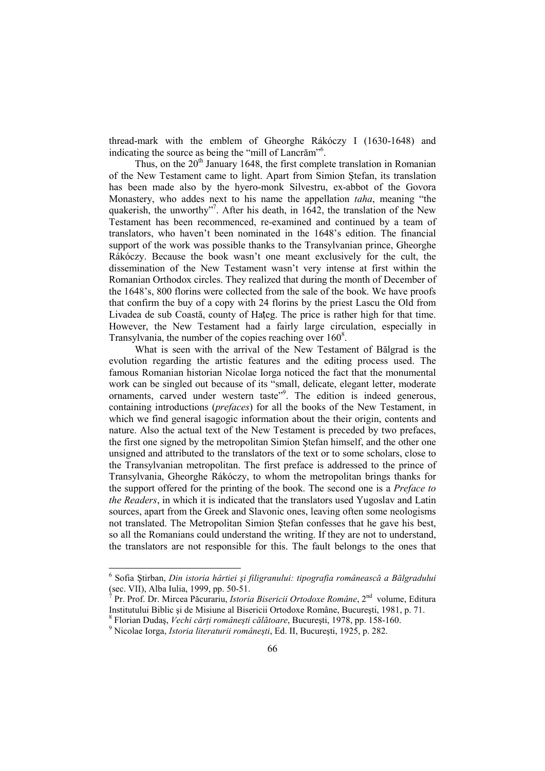thread-mark with the emblem of Gheorghe Rákóczy I (1630-1648) and indicating the source as being the "mill of Lancrăm"<sup>6</sup>.

Thus, on the  $20<sup>th</sup>$  January 1648, the first complete translation in Romanian of the New Testament came to light. Apart from Simion Ştefan, its translation has been made also by the hyero-monk Silvestru, ex-abbot of the Govora Monastery, who addes next to his name the appellation *taha*, meaning "the quakerish, the unworthy"<sup>7</sup>. After his death, in 1642, the translation of the New Testament has been recommenced, re-examined and continued by a team of translators, who haven't been nominated in the 1648's edition. The financial support of the work was possible thanks to the Transylvanian prince, Gheorghe Rákóczy. Because the book wasn't one meant exclusively for the cult, the dissemination of the New Testament wasn't very intense at first within the Romanian Orthodox circles. They realized that during the month of December of the 1648's, 800 florins were collected from the sale of the book. We have proofs that confirm the buy of a copy with 24 florins by the priest Lascu the Old from Livadea de sub Coastă, county of Hațeg. The price is rather high for that time. However, the New Testament had a fairly large circulation, especially in Transylvania, the number of the copies reaching over  $160^8$ .

What is seen with the arrival of the New Testament of Bălgrad is the evolution regarding the artistic features and the editing process used. The famous Romanian historian Nicolae Iorga noticed the fact that the monumental work can be singled out because of its "small, delicate, elegant letter, moderate ornaments, carved under western taste"<sup>9</sup>. The edition is indeed generous, containing introductions (*prefaces*) for all the books of the New Testament, in which we find general isagogic information about the their origin, contents and nature. Also the actual text of the New Testament is preceded by two prefaces, the first one signed by the metropolitan Simion Ştefan himself, and the other one unsigned and attributed to the translators of the text or to some scholars, close to the Transylvanian metropolitan. The first preface is addressed to the prince of Transylvania, Gheorghe Rákóczy, to whom the metropolitan brings thanks for the support offered for the printing of the book. The second one is a *Preface to the Readers*, in which it is indicated that the translators used Yugoslav and Latin sources, apart from the Greek and Slavonic ones, leaving often some neologisms not translated. The Metropolitan Simion Ştefan confesses that he gave his best, so all the Romanians could understand the writing. If they are not to understand, the translators are not responsible for this. The fault belongs to the ones that

 6 Sofia Ştirban, *Din istoria hârtiei şi filigranului: tipografia românească a Bălgradului* (sec. VII), Alba Iulia, 1999, pp. 50-51.

<sup>7</sup> Pr. Prof. Dr. Mircea Păcurariu, *Istoria Bisericii Ortodoxe Române*, 2nd volume, Editura Institutului Biblic şi de Misiune al Bisericii Ortodoxe Române, Bucureşti, 1981, p. 71.

<sup>&</sup>lt;sup>8</sup> Florian Dudaș, *Vechi cărți românești călătoare*, București, 1978, pp. 158-160.

<sup>9</sup> Nicolae Iorga, *Istoria literaturii româneşti*, Ed. II, Bucureşti, 1925, p. 282.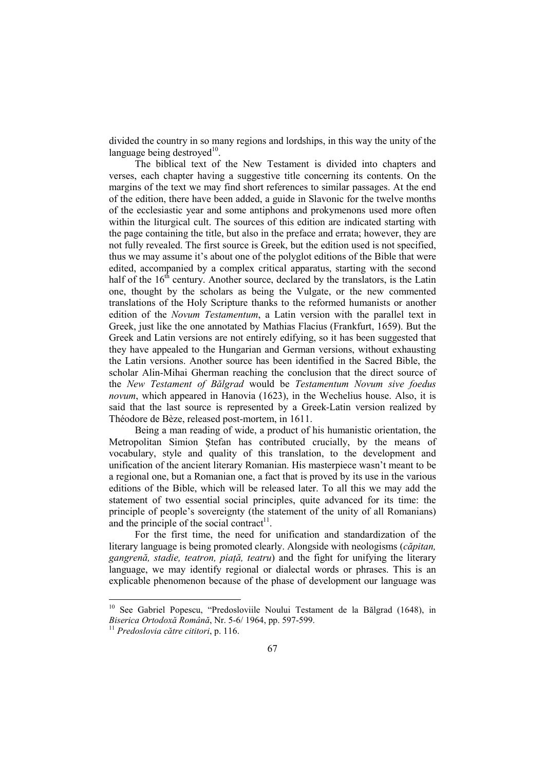divided the country in so many regions and lordships, in this way the unity of the language being destroyed $^{10}$ .

The biblical text of the New Testament is divided into chapters and verses, each chapter having a suggestive title concerning its contents. On the margins of the text we may find short references to similar passages. At the end of the edition, there have been added, a guide in Slavonic for the twelve months of the ecclesiastic year and some antiphons and prokymenons used more often within the liturgical cult. The sources of this edition are indicated starting with the page containing the title, but also in the preface and errata; however, they are not fully revealed. The first source is Greek, but the edition used is not specified, thus we may assume it's about one of the polyglot editions of the Bible that were edited, accompanied by a complex critical apparatus, starting with the second half of the  $16<sup>th</sup>$  century. Another source, declared by the translators, is the Latin one, thought by the scholars as being the Vulgate, or the new commented translations of the Holy Scripture thanks to the reformed humanists or another edition of the *Novum Testamentum*, a Latin version with the parallel text in Greek, just like the one annotated by Mathias Flacius (Frankfurt, 1659). But the Greek and Latin versions are not entirely edifying, so it has been suggested that they have appealed to the Hungarian and German versions, without exhausting the Latin versions. Another source has been identified in the Sacred Bible, the scholar Alin-Mihai Gherman reaching the conclusion that the direct source of the *New Testament of Bălgrad* would be *Testamentum Novum sive foedus novum*, which appeared in Hanovia (1623), in the Wechelius house. Also, it is said that the last source is represented by a Greek-Latin version realized by Théodore de Bèze, released post-mortem, in 1611.

Being a man reading of wide, a product of his humanistic orientation, the Metropolitan Simion Ştefan has contributed crucially, by the means of vocabulary, style and quality of this translation, to the development and unification of the ancient literary Romanian. His masterpiece wasn't meant to be a regional one, but a Romanian one, a fact that is proved by its use in the various editions of the Bible, which will be released later. To all this we may add the statement of two essential social principles, quite advanced for its time: the principle of people's sovereignty (the statement of the unity of all Romanians) and the principle of the social contract<sup>11</sup>.

For the first time, the need for unification and standardization of the literary language is being promoted clearly. Alongside with neologisms (*căpitan, gangrenă, stadie, teatron, piaŃă, teatru*) and the fight for unifying the literary language, we may identify regional or dialectal words or phrases. This is an explicable phenomenon because of the phase of development our language was

 $\ddot{\phantom{a}}$ 

<sup>&</sup>lt;sup>10</sup> See Gabriel Popescu, "Predosloviile Noului Testament de la Bălgrad (1648), in *Biserica Ortodoxă Română*, Nr. 5-6/ 1964, pp. 597-599.

<sup>11</sup> *Predoslovia către cititori*, p. 116.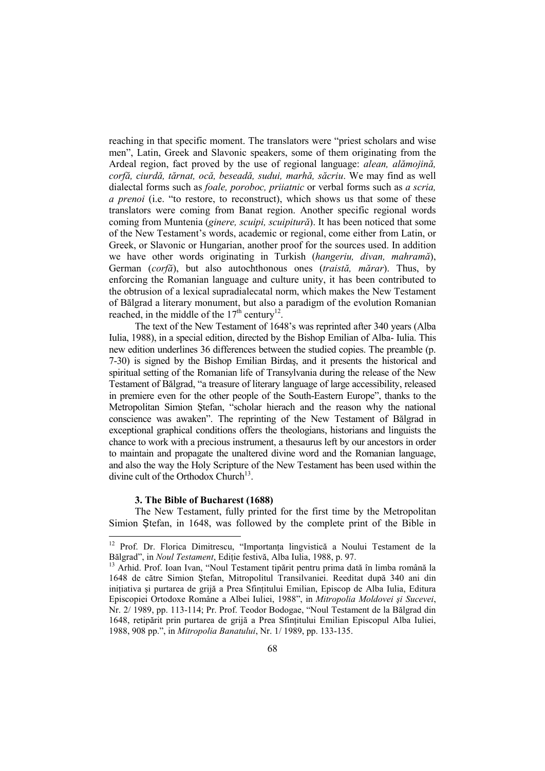reaching in that specific moment. The translators were "priest scholars and wise men", Latin, Greek and Slavonic speakers, some of them originating from the Ardeal region, fact proved by the use of regional language: *alean, alămojină, corfă, ciurdă, tărnat, ocă, beseadă, sudui, marhă, săcriu*. We may find as well dialectal forms such as *foale, poroboc, priiatnic* or verbal forms such as *a scria, a prenoi* (i.e. "to restore, to reconstruct), which shows us that some of these translators were coming from Banat region. Another specific regional words coming from Muntenia (*ginere, scuipi, scuipitură*). It has been noticed that some of the New Testament's words, academic or regional, come either from Latin, or Greek, or Slavonic or Hungarian, another proof for the sources used. In addition we have other words originating in Turkish (*hangeriu, divan, mahramă*), German (*corfă*), but also autochthonous ones (*traistă, mărar*). Thus, by enforcing the Romanian language and culture unity, it has been contributed to the obtrusion of a lexical supradialecatal norm, which makes the New Testament of Bălgrad a literary monument, but also a paradigm of the evolution Romanian reached, in the middle of the  $17<sup>th</sup>$  century<sup>12</sup>.

The text of the New Testament of 1648's was reprinted after 340 years (Alba Iulia, 1988), in a special edition, directed by the Bishop Emilian of Alba- Iulia. This new edition underlines 36 differences between the studied copies. The preamble (p. 7-30) is signed by the Bishop Emilian Birdaş, and it presents the historical and spiritual setting of the Romanian life of Transylvania during the release of the New Testament of Bălgrad, "a treasure of literary language of large accessibility, released in premiere even for the other people of the South-Eastern Europe", thanks to the Metropolitan Simion Ştefan, "scholar hierach and the reason why the national conscience was awaken". The reprinting of the New Testament of Bălgrad in exceptional graphical conditions offers the theologians, historians and linguists the chance to work with a precious instrument, a thesaurus left by our ancestors in order to maintain and propagate the unaltered divine word and the Romanian language, and also the way the Holy Scripture of the New Testament has been used within the divine cult of the Orthodox Church<sup>13</sup>.

### **3. The Bible of Bucharest (1688)**

 $\ddot{\phantom{a}}$ 

The New Testament, fully printed for the first time by the Metropolitan Simion Stefan, in 1648, was followed by the complete print of the Bible in

<sup>&</sup>lt;sup>12</sup> Prof. Dr. Florica Dimitrescu, "Importanța lingvistică a Noului Testament de la Bălgrad", in *Noul Testament*, Editie festivă, Alba Iulia, 1988, p. 97.

<sup>&</sup>lt;sup>13</sup> Arhid. Prof. Ioan Ivan, "Noul Testament tipărit pentru prima dată în limba română la 1648 de către Simion Ştefan, Mitropolitul Transilvaniei. Reeditat după 340 ani din initiativa și purtarea de grijă a Prea Sfintitului Emilian, Episcop de Alba Iulia, Editura Episcopiei Ortodoxe Române a Albei Iuliei, 1988", in *Mitropolia Moldovei şi Sucevei*, Nr. 2/ 1989, pp. 113-114; Pr. Prof. Teodor Bodogae, "Noul Testament de la Bălgrad din 1648, retipărit prin purtarea de grijă a Prea Sfințitului Emilian Episcopul Alba Iuliei, 1988, 908 pp.", in *Mitropolia Banatului*, Nr. 1/ 1989, pp. 133-135.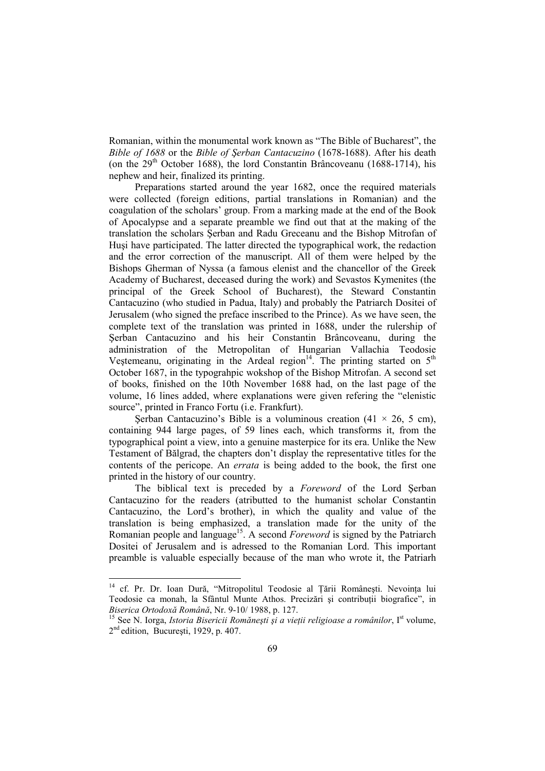Romanian, within the monumental work known as "The Bible of Bucharest", the *Bible of 1688* or the *Bible of Şerban Cantacuzino* (1678-1688). After his death (on the  $29<sup>th</sup>$  October 1688), the lord Constantin Brâncoveanu (1688-1714), his nephew and heir, finalized its printing.

Preparations started around the year 1682, once the required materials were collected (foreign editions, partial translations in Romanian) and the coagulation of the scholars' group. From a marking made at the end of the Book of Apocalypse and a separate preamble we find out that at the making of the translation the scholars Şerban and Radu Greceanu and the Bishop Mitrofan of Huşi have participated. The latter directed the typographical work, the redaction and the error correction of the manuscript. All of them were helped by the Bishops Gherman of Nyssa (a famous elenist and the chancellor of the Greek Academy of Bucharest, deceased during the work) and Sevastos Kymenites (the principal of the Greek School of Bucharest), the Steward Constantin Cantacuzino (who studied in Padua, Italy) and probably the Patriarch Dositei of Jerusalem (who signed the preface inscribed to the Prince). As we have seen, the complete text of the translation was printed in 1688, under the rulership of Şerban Cantacuzino and his heir Constantin Brâncoveanu, during the administration of the Metropolitan of Hungarian Vallachia Teodosie Vestemeanu, originating in the Ardeal region<sup>14</sup>. The printing started on  $5<sup>th</sup>$ October 1687, in the typograhpic wokshop of the Bishop Mitrofan. A second set of books, finished on the 10th November 1688 had, on the last page of the volume, 16 lines added, where explanations were given refering the "elenistic source", printed in Franco Fortu (i.e. Frankfurt).

Serban Cantacuzino's Bible is a voluminous creation  $(41 \times 26, 5 \text{ cm})$ . containing 944 large pages, of 59 lines each, which transforms it, from the typographical point a view, into a genuine masterpice for its era. Unlike the New Testament of Bălgrad, the chapters don't display the representative titles for the contents of the pericope. An *errata* is being added to the book, the first one printed in the history of our country.

The biblical text is preceded by a *Foreword* of the Lord Şerban Cantacuzino for the readers (atributted to the humanist scholar Constantin Cantacuzino, the Lord's brother), in which the quality and value of the translation is being emphasized, a translation made for the unity of the Romanian people and language<sup>15</sup>. A second *Foreword* is signed by the Patriarch Dositei of Jerusalem and is adressed to the Romanian Lord. This important preamble is valuable especially because of the man who wrote it, the Patriarh

<sup>&</sup>lt;sup>14</sup> cf. Pr. Dr. Ioan Dură, "Mitropolitul Teodosie al Țării Românești. Nevoința lui Teodosie ca monah, la Sfântul Munte Athos. Precizări și contribuții biografice", in *Biserica Ortodoxă Română*, Nr. 9-10/ 1988, p. 127.

<sup>&</sup>lt;sup>15</sup> See N. Iorga, *Istoria Bisericii Romănești și a vieții religioase a românilor*, I<sup>st</sup> volume, 2<sup>nd</sup> edition, București, 1929, p. 407.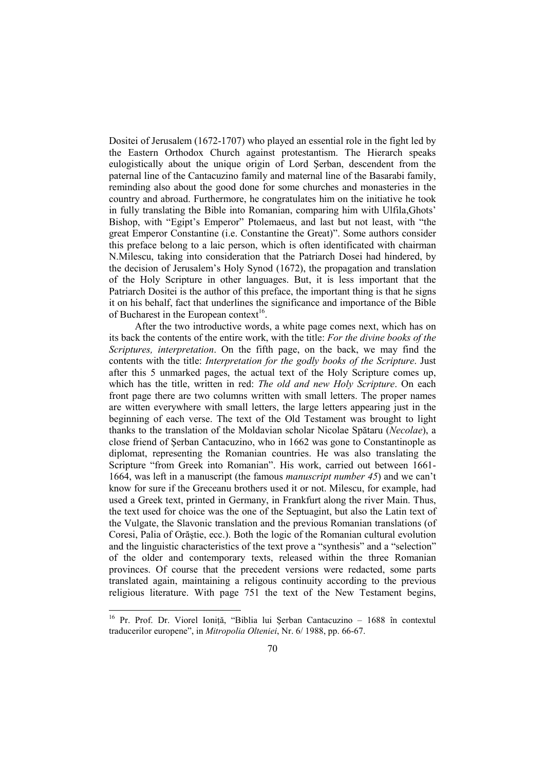Dositei of Jerusalem (1672-1707) who played an essential role in the fight led by the Eastern Orthodox Church against protestantism. The Hierarch speaks eulogistically about the unique origin of Lord Şerban, descendent from the paternal line of the Cantacuzino family and maternal line of the Basarabi family, reminding also about the good done for some churches and monasteries in the country and abroad. Furthermore, he congratulates him on the initiative he took in fully translating the Bible into Romanian, comparing him with Ulfila,Ghots' Bishop, with "Egipt's Emperor" Ptolemaeus, and last but not least, with "the great Emperor Constantine (i.e. Constantine the Great)". Some authors consider this preface belong to a laic person, which is often identificated with chairman N.Milescu, taking into consideration that the Patriarch Dosei had hindered, by the decision of Jerusalem's Holy Synod (1672), the propagation and translation of the Holy Scripture in other languages. But, it is less important that the Patriarch Dositei is the author of this preface, the important thing is that he signs it on his behalf, fact that underlines the significance and importance of the Bible of Bucharest in the European context<sup>16</sup>.

After the two introductive words, a white page comes next, which has on its back the contents of the entire work, with the title: *For the divine books of the Scriptures, interpretation*. On the fifth page, on the back, we may find the contents with the title: *Interpretation for the godly books of the Scripture*. Just after this 5 unmarked pages, the actual text of the Holy Scripture comes up, which has the title, written in red: *The old and new Holy Scripture*. On each front page there are two columns written with small letters. The proper names are witten everywhere with small letters, the large letters appearing just in the beginning of each verse. The text of the Old Testament was brought to light thanks to the translation of the Moldavian scholar Nicolae Spătaru (*Necolae*), a close friend of Şerban Cantacuzino, who in 1662 was gone to Constantinople as diplomat, representing the Romanian countries. He was also translating the Scripture "from Greek into Romanian". His work, carried out between 1661- 1664, was left in a manuscript (the famous *manuscript number 45*) and we can't know for sure if the Greceanu brothers used it or not. Milescu, for example, had used a Greek text, printed in Germany, in Frankfurt along the river Main. Thus, the text used for choice was the one of the Septuagint, but also the Latin text of the Vulgate, the Slavonic translation and the previous Romanian translations (of Coresi, Palia of Orăştie, ecc.). Both the logic of the Romanian cultural evolution and the linguistic characteristics of the text prove a "synthesis" and a "selection" of the older and contemporary texts, released within the three Romanian provinces. Of course that the precedent versions were redacted, some parts translated again, maintaining a religous continuity according to the previous religious literature. With page 751 the text of the New Testament begins,

<sup>&</sup>lt;sup>16</sup> Pr. Prof. Dr. Viorel Ioniță, "Biblia lui Șerban Cantacuzino - 1688 în contextul traducerilor europene", in *Mitropolia Olteniei*, Nr. 6/ 1988, pp. 66-67.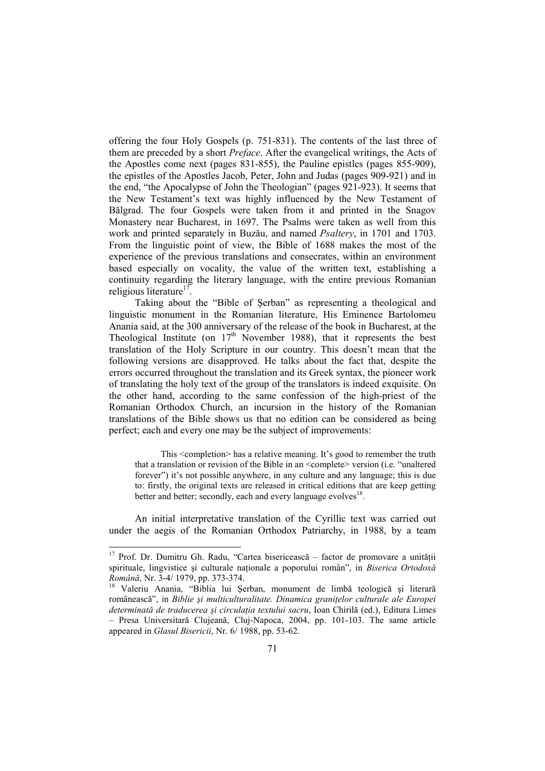offering the four Holy Gospels (p. 751-831). The contents of the last three of them are preceded by a short *Preface*. After the evangelical writings, the Acts of the Apostles come next (pages 831-855), the Pauline epistles (pages 855-909), the epistles of the Apostles Jacob, Peter, John and Judas (pages 909-921) and in the end, "the Apocalypse of John the Theologian" (pages 921-923). It seems that the New Testament's text was highly influenced by the New Testament of Bălgrad. The four Gospels were taken from it and printed in the Snagov Monastery near Bucharest, in 1697. The Psalms were taken as well from this work and printed separately in Buzău, and named *Psaltery*, in 1701 and 1703. From the linguistic point of view, the Bible of 1688 makes the most of the experience of the previous translations and consecrates, within an environment based especially on vocality, the value of the written text, establishing a continuity regarding the literary language, with the entire previous Romanian religious literature<sup>17</sup>.

Taking about the "Bible of Şerban" as representing a theological and linguistic monument in the Romanian literature, His Eminence Bartolomeu Anania said, at the 300 anniversary of the release of the book in Bucharest, at the Theological Institute (on  $17<sup>th</sup>$  November 1988), that it represents the best translation of the Holy Scripture in our country. This doesn't mean that the following versions are disapproved. He talks about the fact that, despite the errors occurred throughout the translation and its Greek syntax, the pioneer work of translating the holy text of the group of the translators is indeed exquisite. On the other hand, according to the same confession of the high-priest of the Romanian Orthodox Church, an incursion in the history of the Romanian translations of the Bible shows us that no edition can be considered as being perfect; each and every one may be the subject of improvements:

This <completion> has a relative meaning. It's good to remember the truth that a translation or revision of the Bible in an <complete> version (i.e. "unaltered forever") it's not possible anywhere, in any culture and any language; this is due to: firstly, the original texts are released in critical editions that are keep getting better and better; secondly, each and every language evolves<sup>18</sup>.

An initial interpretative translation of the Cyrillic text was carried out under the aegis of the Romanian Orthodox Patriarchy, in 1988, by a team

 $17$  Prof. Dr. Dumitru Gh. Radu, "Cartea bisericească – factor de promovare a unității spirituale, lingvistice și culturale nationale a poporului român", in *Biserica Ortodoxă Română*, Nr. 3-4/ 1979, pp. 373-374.

<sup>&</sup>lt;sup>18</sup> Valeriu Anania, "Biblia lui Serban, monument de limbă teologică și literară românească", in *Biblie și multiculturalitate. Dinamica granitelor culturale ale Europei* determinată de traducerea și circulația textului sacru, Ioan Chirilă (ed.), Editura Limes – Presa Universitară Clujeană, Cluj-Napoca, 2004, pp. 101-103. The same article appeared in *Glasul Bisericii*, Nr. 6/ 1988, pp. 53-62.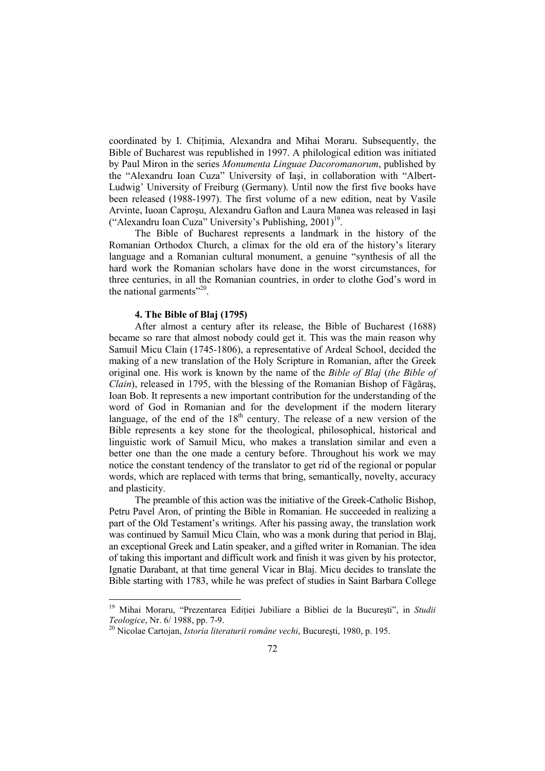coordinated by I. Chitimia, Alexandra and Mihai Moraru. Subsequently, the Bible of Bucharest was republished in 1997. A philological edition was initiated by Paul Miron in the series *Monumenta Linguae Dacoromanorum*, published by the "Alexandru Ioan Cuza" University of Iaşi, in collaboration with "Albert-Ludwig' University of Freiburg (Germany). Until now the first five books have been released (1988-1997). The first volume of a new edition, neat by Vasile Arvinte, Iuoan Caproşu, Alexandru Gafton and Laura Manea was released in Iaşi ("Alexandru Ioan Cuza" University's Publishing, 2001)<sup>19</sup>.

The Bible of Bucharest represents a landmark in the history of the Romanian Orthodox Church, a climax for the old era of the history's literary language and a Romanian cultural monument, a genuine "synthesis of all the hard work the Romanian scholars have done in the worst circumstances, for three centuries, in all the Romanian countries, in order to clothe God's word in the national garments $"^{20}$ .

#### **4. The Bible of Blaj (1795)**

 $\ddot{\phantom{a}}$ 

After almost a century after its release, the Bible of Bucharest (1688) became so rare that almost nobody could get it. This was the main reason why Samuil Micu Clain (1745-1806), a representative of Ardeal School, decided the making of a new translation of the Holy Scripture in Romanian, after the Greek original one. His work is known by the name of the *Bible of Blaj* (*the Bible of Clain*), released in 1795, with the blessing of the Romanian Bishop of Făgăraş, Ioan Bob. It represents a new important contribution for the understanding of the word of God in Romanian and for the development if the modern literary language, of the end of the  $18<sup>th</sup>$  century. The release of a new version of the Bible represents a key stone for the theological, philosophical, historical and linguistic work of Samuil Micu, who makes a translation similar and even a better one than the one made a century before. Throughout his work we may notice the constant tendency of the translator to get rid of the regional or popular words, which are replaced with terms that bring, semantically, novelty, accuracy and plasticity.

The preamble of this action was the initiative of the Greek-Catholic Bishop, Petru Pavel Aron, of printing the Bible in Romanian. He succeeded in realizing a part of the Old Testament's writings. After his passing away, the translation work was continued by Samuil Micu Clain, who was a monk during that period in Blaj, an exceptional Greek and Latin speaker, and a gifted writer in Romanian. The idea of taking this important and difficult work and finish it was given by his protector, Ignatie Darabant, at that time general Vicar in Blaj. Micu decides to translate the Bible starting with 1783, while he was prefect of studies in Saint Barbara College

<sup>&</sup>lt;sup>19</sup> Mihai Moraru, "Prezentarea Ediției Jubiliare a Bibliei de la București", in Studii *Teologice*, Nr. 6/ 1988, pp. 7-9.

<sup>20</sup> Nicolae Cartojan, *Istoria literaturii române vechi*, Bucureşti, 1980, p. 195.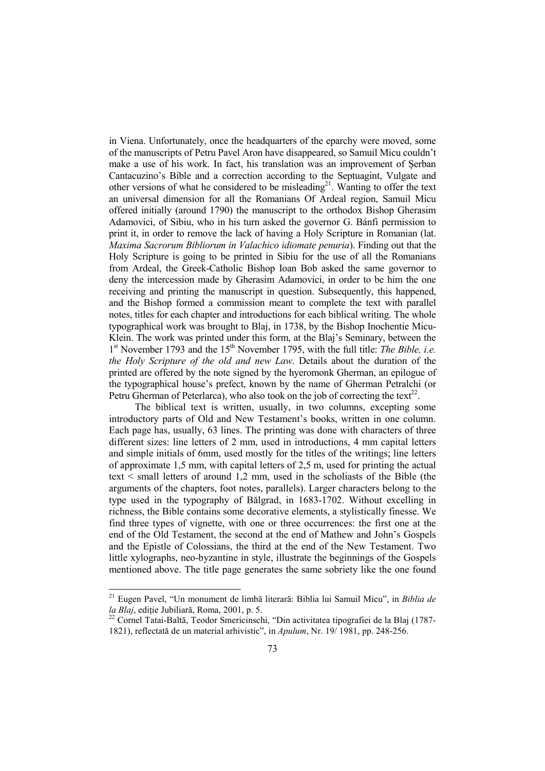in Viena. Unfortunately, once the headquarters of the eparchy were moved, some of the manuscripts of Petru Pavel Aron have disappeared, so Samuil Micu couldn't make a use of his work. In fact, his translation was an improvement of Şerban Cantacuzino's Bible and a correction according to the Septuagint, Vulgate and other versions of what he considered to be misleading<sup>21</sup>. Wanting to offer the text an universal dimension for all the Romanians Of Ardeal region, Samuil Micu offered initially (around 1790) the manuscript to the orthodox Bishop Gherasim Adamovici, of Sibiu, who in his turn asked the governor G. Bánfi permission to print it, in order to remove the lack of having a Holy Scripture in Romanian (lat. *Maxima Sacrorum Bibliorum in Valachico idiomate penuria*). Finding out that the Holy Scripture is going to be printed in Sibiu for the use of all the Romanians from Ardeal, the Greek-Catholic Bishop Ioan Bob asked the same governor to deny the intercession made by Gherasim Adamovici, in order to be him the one receiving and printing the manuscript in question. Subsequently, this happened, and the Bishop formed a commission meant to complete the text with parallel notes, titles for each chapter and introductions for each biblical writing. The whole typographical work was brought to Blaj, in 1738, by the Bishop Inochentie Micu-Klein. The work was printed under this form, at the Blaj's Seminary, between the 1<sup>st</sup> November 1793 and the 15<sup>th</sup> November 1795, with the full title: *The Bible, i.e. the Holy Scripture of the old and new Law*. Details about the duration of the printed are offered by the note signed by the hyeromonk Gherman, an epilogue of the typographical house's prefect, known by the name of Gherman Petralchi (or Petru Gherman of Peterlarca), who also took on the job of correcting the text<sup>22</sup>.

The biblical text is written, usually, in two columns, excepting some introductory parts of Old and New Testament's books, written in one column. Each page has, usually, 63 lines. The printing was done with characters of three different sizes: line letters of 2 mm, used in introductions, 4 mm capital letters and simple initials of 6mm, used mostly for the titles of the writings; line letters of approximate 1,5 mm, with capital letters of 2,5 m, used for printing the actual text < small letters of around 1,2 mm, used in the scholiasts of the Bible (the arguments of the chapters, foot notes, parallels). Larger characters belong to the type used in the typography of Bălgrad, in 1683-1702. Without excelling in richness, the Bible contains some decorative elements, a stylistically finesse. We find three types of vignette, with one or three occurrences: the first one at the end of the Old Testament, the second at the end of Mathew and John's Gospels and the Epistle of Colossians, the third at the end of the New Testament. Two little xylographs, neo-byzantine in style, illustrate the beginnings of the Gospels mentioned above. The title page generates the same sobriety like the one found

<sup>21</sup> Eugen Pavel, "Un monument de limbă literară: Biblia lui Samuil Micu", in *Biblia de la Blaj*, ediție Jubiliară, Roma, 2001, p. 5.

<sup>&</sup>lt;sup>22</sup> Cornel Tatai-Baltă, Teodor Smericinschi, "Din activitatea tipografiei de la Blaj (1787-1821), reflectată de un material arhivistic", in *Apulum*, Nr. 19/ 1981, pp. 248-256.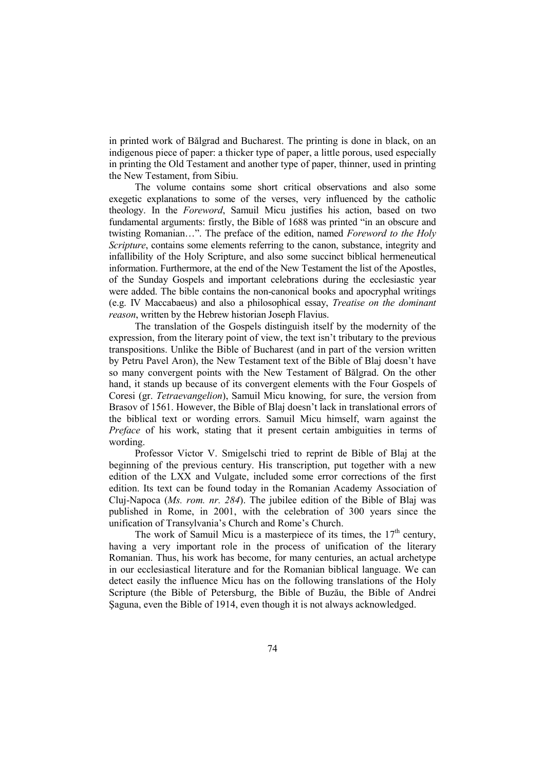in printed work of Bălgrad and Bucharest. The printing is done in black, on an indigenous piece of paper: a thicker type of paper, a little porous, used especially in printing the Old Testament and another type of paper, thinner, used in printing the New Testament, from Sibiu.

The volume contains some short critical observations and also some exegetic explanations to some of the verses, very influenced by the catholic theology. In the *Foreword*, Samuil Micu justifies his action, based on two fundamental arguments: firstly, the Bible of 1688 was printed "in an obscure and twisting Romanian…". The preface of the edition, named *Foreword to the Holy Scripture*, contains some elements referring to the canon, substance, integrity and infallibility of the Holy Scripture, and also some succinct biblical hermeneutical information. Furthermore, at the end of the New Testament the list of the Apostles, of the Sunday Gospels and important celebrations during the ecclesiastic year were added. The bible contains the non-canonical books and apocryphal writings (e.g. IV Maccabaeus) and also a philosophical essay, *Treatise on the dominant reason*, written by the Hebrew historian Joseph Flavius.

The translation of the Gospels distinguish itself by the modernity of the expression, from the literary point of view, the text isn't tributary to the previous transpositions. Unlike the Bible of Bucharest (and in part of the version written by Petru Pavel Aron), the New Testament text of the Bible of Blaj doesn't have so many convergent points with the New Testament of Bălgrad. On the other hand, it stands up because of its convergent elements with the Four Gospels of Coresi (gr. *Tetraevangelion*), Samuil Micu knowing, for sure, the version from Brasov of 1561. However, the Bible of Blaj doesn't lack in translational errors of the biblical text or wording errors. Samuil Micu himself, warn against the *Preface* of his work, stating that it present certain ambiguities in terms of wording.

Professor Victor V. Smigelschi tried to reprint de Bible of Blaj at the beginning of the previous century. His transcription, put together with a new edition of the LXX and Vulgate, included some error corrections of the first edition. Its text can be found today in the Romanian Academy Association of Cluj-Napoca (*Ms. rom. nr. 284*). The jubilee edition of the Bible of Blaj was published in Rome, in 2001, with the celebration of 300 years since the unification of Transylvania's Church and Rome's Church.

The work of Samuil Micu is a masterpiece of its times, the  $17<sup>th</sup>$  century, having a very important role in the process of unification of the literary Romanian. Thus, his work has become, for many centuries, an actual archetype in our ecclesiastical literature and for the Romanian biblical language. We can detect easily the influence Micu has on the following translations of the Holy Scripture (the Bible of Petersburg, the Bible of Buzău, the Bible of Andrei Şaguna, even the Bible of 1914, even though it is not always acknowledged.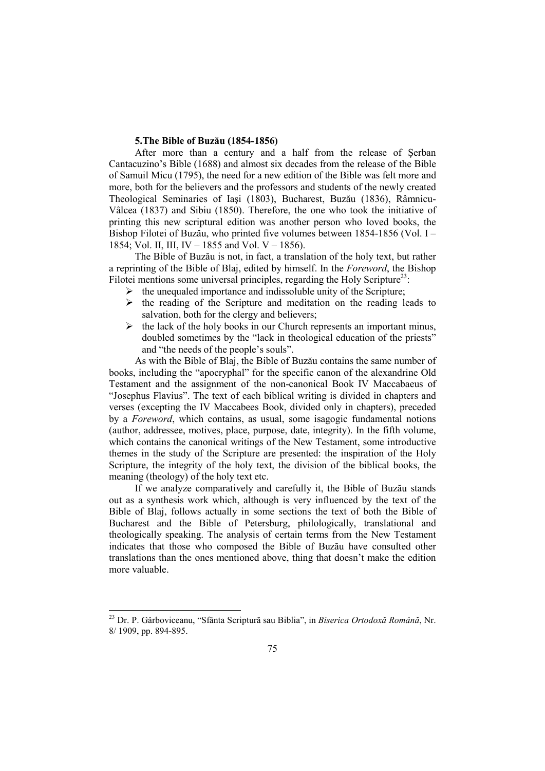# **5.The Bible of Buzău (1854-1856)**

After more than a century and a half from the release of Şerban Cantacuzino's Bible (1688) and almost six decades from the release of the Bible of Samuil Micu (1795), the need for a new edition of the Bible was felt more and more, both for the believers and the professors and students of the newly created Theological Seminaries of Iaşi (1803), Bucharest, Buzău (1836), Râmnicu-Vâlcea (1837) and Sibiu (1850). Therefore, the one who took the initiative of printing this new scriptural edition was another person who loved books, the Bishop Filotei of Buzău, who printed five volumes between 1854-1856 (Vol. I – 1854; Vol. II, III, IV – 1855 and Vol. V – 1856).

The Bible of Buzău is not, in fact, a translation of the holy text, but rather a reprinting of the Bible of Blaj, edited by himself. In the *Foreword*, the Bishop Filotei mentions some universal principles, regarding the Holy Scripture<sup>23</sup>:

- $\triangleright$  the unequaled importance and indissoluble unity of the Scripture;
- $\triangleright$  the reading of the Scripture and meditation on the reading leads to salvation, both for the clergy and believers;
- $\triangleright$  the lack of the holy books in our Church represents an important minus, doubled sometimes by the "lack in theological education of the priests" and "the needs of the people's souls".

As with the Bible of Blaj, the Bible of Buzău contains the same number of books, including the "apocryphal" for the specific canon of the alexandrine Old Testament and the assignment of the non-canonical Book IV Maccabaeus of "Josephus Flavius". The text of each biblical writing is divided in chapters and verses (excepting the IV Maccabees Book, divided only in chapters), preceded by a *Foreword*, which contains, as usual, some isagogic fundamental notions (author, addressee, motives, place, purpose, date, integrity). In the fifth volume, which contains the canonical writings of the New Testament, some introductive themes in the study of the Scripture are presented: the inspiration of the Holy Scripture, the integrity of the holy text, the division of the biblical books, the meaning (theology) of the holy text etc.

If we analyze comparatively and carefully it, the Bible of Buzău stands out as a synthesis work which, although is very influenced by the text of the Bible of Blaj, follows actually in some sections the text of both the Bible of Bucharest and the Bible of Petersburg, philologically, translational and theologically speaking. The analysis of certain terms from the New Testament indicates that those who composed the Bible of Buzău have consulted other translations than the ones mentioned above, thing that doesn't make the edition more valuable.

<sup>23</sup> Dr. P. Gârboviceanu, "Sfânta Scriptură sau Biblia", in *Biserica Ortodoxă Română*, Nr. 8/ 1909, pp. 894-895.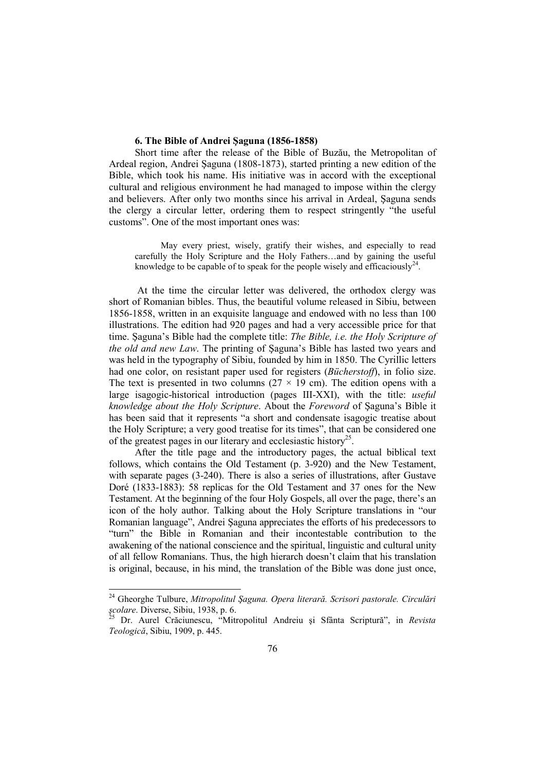## **6. The Bible of Andrei Şaguna (1856-1858)**

Short time after the release of the Bible of Buzău, the Metropolitan of Ardeal region, Andrei Şaguna (1808-1873), started printing a new edition of the Bible, which took his name. His initiative was in accord with the exceptional cultural and religious environment he had managed to impose within the clergy and believers. After only two months since his arrival in Ardeal, Şaguna sends the clergy a circular letter, ordering them to respect stringently "the useful customs". One of the most important ones was:

May every priest, wisely, gratify their wishes, and especially to read carefully the Holy Scripture and the Holy Fathers…and by gaining the useful knowledge to be capable of to speak for the people wisely and efficaciously<sup>24</sup>.

 At the time the circular letter was delivered, the orthodox clergy was short of Romanian bibles. Thus, the beautiful volume released in Sibiu, between 1856-1858, written in an exquisite language and endowed with no less than 100 illustrations. The edition had 920 pages and had a very accessible price for that time. Şaguna's Bible had the complete title: *The Bible, i.e. the Holy Scripture of the old and new Law*. The printing of Şaguna's Bible has lasted two years and was held in the typography of Sibiu, founded by him in 1850. The Cyrillic letters had one color, on resistant paper used for registers (*Bücherstoff*), in folio size. The text is presented in two columns ( $27 \times 19$  cm). The edition opens with a large isagogic-historical introduction (pages III-XXI), with the title: *useful knowledge about the Holy Scripture*. About the *Foreword* of Şaguna's Bible it has been said that it represents "a short and condensate isagogic treatise about the Holy Scripture; a very good treatise for its times", that can be considered one of the greatest pages in our literary and ecclesiastic history<sup>25</sup>.

After the title page and the introductory pages, the actual biblical text follows, which contains the Old Testament (p. 3-920) and the New Testament, with separate pages (3-240). There is also a series of illustrations, after Gustave Doré (1833-1883): 58 replicas for the Old Testament and 37 ones for the New Testament. At the beginning of the four Holy Gospels, all over the page, there's an icon of the holy author. Talking about the Holy Scripture translations in "our Romanian language", Andrei Şaguna appreciates the efforts of his predecessors to "turn" the Bible in Romanian and their incontestable contribution to the awakening of the national conscience and the spiritual, linguistic and cultural unity of all fellow Romanians. Thus, the high hierarch doesn't claim that his translation is original, because, in his mind, the translation of the Bible was done just once,

<sup>24</sup> Gheorghe Tulbure, *Mitropolitul Şaguna. Opera literară. Scrisori pastorale. Circulări scolare.* Diverse, Sibiu, 1938, p. 6.

<sup>25</sup> Dr. Aurel Crăciunescu, "Mitropolitul Andreiu şi Sfânta Scriptură", in *Revista Teologică*, Sibiu, 1909, p. 445.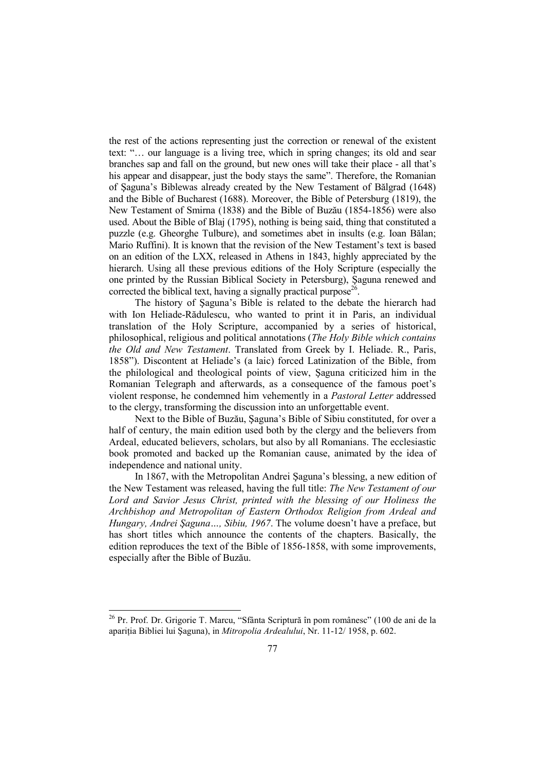the rest of the actions representing just the correction or renewal of the existent text: "… our language is a living tree, which in spring changes; its old and sear branches sap and fall on the ground, but new ones will take their place - all that's his appear and disappear, just the body stays the same". Therefore, the Romanian of Şaguna's Biblewas already created by the New Testament of Bălgrad (1648) and the Bible of Bucharest (1688). Moreover, the Bible of Petersburg (1819), the New Testament of Smirna (1838) and the Bible of Buzău (1854-1856) were also used. About the Bible of Blaj (1795), nothing is being said, thing that constituted a puzzle (e.g. Gheorghe Tulbure), and sometimes abet in insults (e.g. Ioan Bălan; Mario Ruffini). It is known that the revision of the New Testament's text is based on an edition of the LXX, released in Athens in 1843, highly appreciated by the hierarch. Using all these previous editions of the Holy Scripture (especially the one printed by the Russian Biblical Society in Petersburg), Şaguna renewed and corrected the biblical text, having a signally practical purpose<sup>26</sup>.

The history of Şaguna's Bible is related to the debate the hierarch had with Ion Heliade-Rădulescu, who wanted to print it in Paris, an individual translation of the Holy Scripture, accompanied by a series of historical, philosophical, religious and political annotations (*The Holy Bible which contains the Old and New Testament*. Translated from Greek by I. Heliade. R., Paris, 1858"). Discontent at Heliade's (a laic) forced Latinization of the Bible, from the philological and theological points of view, Şaguna criticized him in the Romanian Telegraph and afterwards, as a consequence of the famous poet's violent response, he condemned him vehemently in a *Pastoral Letter* addressed to the clergy, transforming the discussion into an unforgettable event.

Next to the Bible of Buzău, Şaguna's Bible of Sibiu constituted, for over a half of century, the main edition used both by the clergy and the believers from Ardeal, educated believers, scholars, but also by all Romanians. The ecclesiastic book promoted and backed up the Romanian cause, animated by the idea of independence and national unity.

In 1867, with the Metropolitan Andrei Şaguna's blessing, a new edition of the New Testament was released, having the full title: *The New Testament of our Lord and Savior Jesus Christ, printed with the blessing of our Holiness the Archbishop and Metropolitan of Eastern Orthodox Religion from Ardeal and Hungary, Andrei Şaguna…, Sibiu, 1967*. The volume doesn't have a preface, but has short titles which announce the contents of the chapters. Basically, the edition reproduces the text of the Bible of 1856-1858, with some improvements, especially after the Bible of Buzău.

<sup>&</sup>lt;sup>26</sup> Pr. Prof. Dr. Grigorie T. Marcu, "Sfânta Scriptură în pom românesc" (100 de ani de la apariția Bibliei lui Saguna), in *Mitropolia Ardealului*, Nr. 11-12/ 1958, p. 602.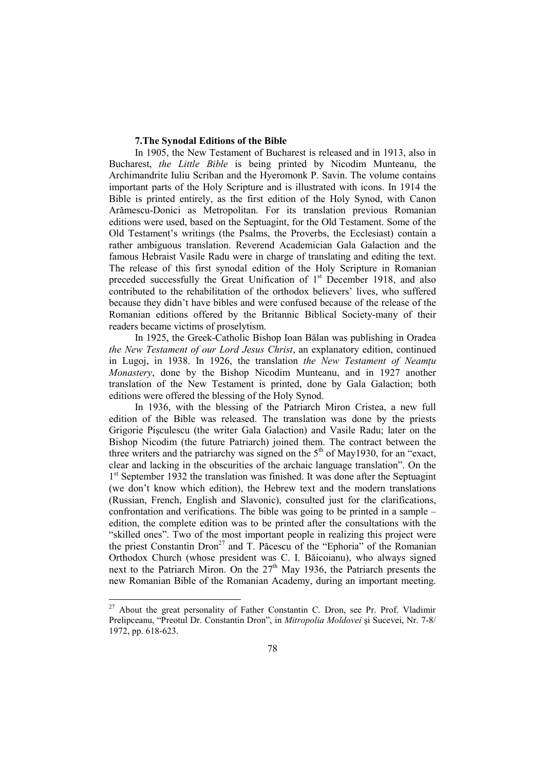## **7.The Synodal Editions of the Bible**

In 1905, the New Testament of Bucharest is released and in 1913, also in Bucharest, *the Little Bible* is being printed by Nicodim Munteanu, the Archimandrite Iuliu Scriban and the Hyeromonk P. Savin. The volume contains important parts of the Holy Scripture and is illustrated with icons. In 1914 the Bible is printed entirely, as the first edition of the Holy Synod, with Canon Arămescu-Donici as Metropolitan. For its translation previous Romanian editions were used, based on the Septuagint, for the Old Testament. Some of the Old Testament's writings (the Psalms, the Proverbs, the Ecclesiast) contain a rather ambiguous translation. Reverend Academician Gala Galaction and the famous Hebraist Vasile Radu were in charge of translating and editing the text. The release of this first synodal edition of the Holy Scripture in Romanian preceded successfully the Great Unification of  $1<sup>st</sup>$  December 1918, and also contributed to the rehabilitation of the orthodox believers' lives, who suffered because they didn't have bibles and were confused because of the release of the Romanian editions offered by the Britannic Biblical Society-many of their readers became victims of proselytism.

In 1925, the Greek-Catholic Bishop Ioan Bălan was publishing in Oradea *the New Testament of our Lord Jesus Christ*, an explanatory edition, continued in Lugoj, in 1938. In 1926, the translation *the New Testament of Neamtu Monastery*, done by the Bishop Nicodim Munteanu, and in 1927 another translation of the New Testament is printed, done by Gala Galaction; both editions were offered the blessing of the Holy Synod.

In 1936, with the blessing of the Patriarch Miron Cristea, a new full edition of the Bible was released. The translation was done by the priests Grigorie Pişculescu (the writer Gala Galaction) and Vasile Radu; later on the Bishop Nicodim (the future Patriarch) joined them. The contract between the three writers and the patriarchy was signed on the  $5<sup>th</sup>$  of May1930, for an "exact, clear and lacking in the obscurities of the archaic language translation". On the 1<sup>st</sup> September 1932 the translation was finished. It was done after the Septuagint (we don't know which edition), the Hebrew text and the modern translations (Russian, French, English and Slavonic), consulted just for the clarifications, confrontation and verifications. The bible was going to be printed in a sample – edition, the complete edition was to be printed after the consultations with the "skilled ones". Two of the most important people in realizing this project were the priest Constantin Dron<sup>27</sup> and T. Păcescu of the "Ephoria" of the Romanian Orthodox Church (whose president was C. I. Băicoianu), who always signed next to the Patriarch Miron. On the 27<sup>th</sup> May 1936, the Patriarch presents the new Romanian Bible of the Romanian Academy, during an important meeting.

 $\ddot{\phantom{a}}$ 

<sup>&</sup>lt;sup>27</sup> About the great personality of Father Constantin C. Dron, see Pr. Prof. Vladimir Prelipceanu, "Preotul Dr. Constantin Dron", in *Mitropolia Moldovei* şi Sucevei, Nr. 7-8/ 1972, pp. 618-623.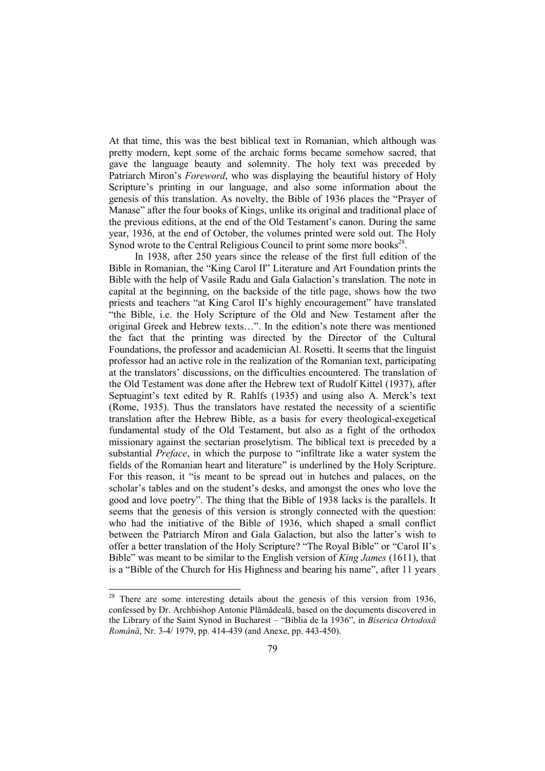At that time, this was the best biblical text in Romanian, which although was pretty modern, kept some of the archaic forms became somehow sacred, that gave the language beauty and solemnity. The holy text was preceded by Patriarch Miron's *Foreword*, who was displaying the beautiful history of Holy Scripture's printing in our language, and also some information about the genesis of this translation. As novelty, the Bible of 1936 places the "Prayer of Manase" after the four books of Kings, unlike its original and traditional place of the previous editions, at the end of the Old Testament's canon. During the same year, 1936, at the end of October, the volumes printed were sold out. The Holy Synod wrote to the Central Religious Council to print some more books $2^8$ .

In 1938, after 250 years since the release of the first full edition of the Bible in Romanian, the "King Carol II" Literature and Art Foundation prints the Bible with the help of Vasile Radu and Gala Galaction's translation. The note in capital at the beginning, on the backside of the title page, shows how the two priests and teachers "at King Carol II's highly encouragement" have translated "the Bible, i.e. the Holy Scripture of the Old and New Testament after the original Greek and Hebrew texts…". In the edition's note there was mentioned the fact that the printing was directed by the Director of the Cultural Foundations, the professor and academician Al. Rosetti. It seems that the linguist professor had an active role in the realization of the Romanian text, participating at the translators' discussions, on the difficulties encountered. The translation of the Old Testament was done after the Hebrew text of Rudolf Kittel (1937), after Septuagint's text edited by R. Rahlfs (1935) and using also A. Merck's text (Rome, 1935). Thus the translators have restated the necessity of a scientific translation after the Hebrew Bible, as a basis for every theological-exegetical fundamental study of the Old Testament, but also as a fight of the orthodox missionary against the sectarian proselytism. The biblical text is preceded by a substantial *Preface*, in which the purpose to "infiltrate like a water system the fields of the Romanian heart and literature" is underlined by the Holy Scripture. For this reason, it "is meant to be spread out in hutches and palaces, on the scholar's tables and on the student's desks, and amongst the ones who love the good and love poetry". The thing that the Bible of 1938 lacks is the parallels. It seems that the genesis of this version is strongly connected with the question: who had the initiative of the Bible of 1936, which shaped a small conflict between the Patriarch Miron and Gala Galaction, but also the latter's wish to offer a better translation of the Holy Scripture? "The Royal Bible" or "Carol II's Bible" was meant to be similar to the English version of *King James* (1611), that is a "Bible of the Church for His Highness and bearing his name", after 11 years

 $2<sup>28</sup>$  There are some interesting details about the genesis of this version from 1936, confessed by Dr. Archbishop Antonie Plămădeală, based on the documents discovered in the Library of the Saint Synod in Bucharest – "Biblia de la 1936", in *Biserica Ortodoxă Română*, Nr. 3-4/ 1979, pp. 414-439 (and Anexe, pp. 443-450).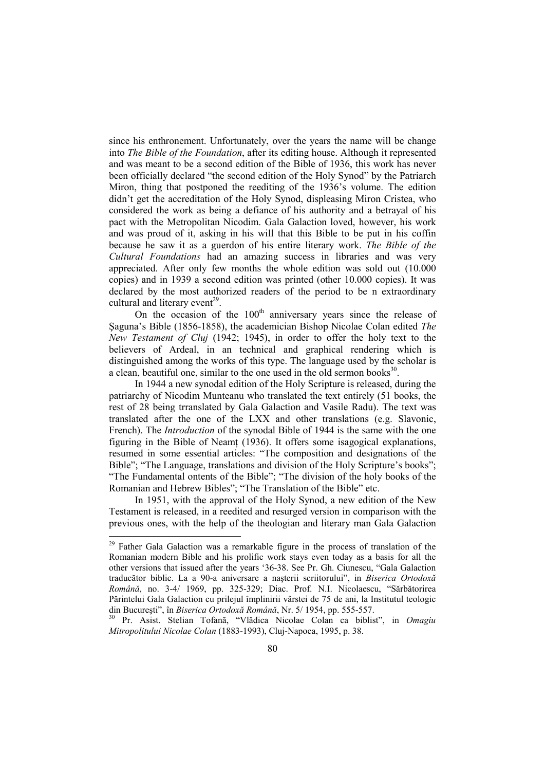since his enthronement. Unfortunately, over the years the name will be change into *The Bible of the Foundation*, after its editing house. Although it represented and was meant to be a second edition of the Bible of 1936, this work has never been officially declared "the second edition of the Holy Synod" by the Patriarch Miron, thing that postponed the reediting of the 1936's volume. The edition didn't get the accreditation of the Holy Synod, displeasing Miron Cristea, who considered the work as being a defiance of his authority and a betrayal of his pact with the Metropolitan Nicodim. Gala Galaction loved, however, his work and was proud of it, asking in his will that this Bible to be put in his coffin because he saw it as a guerdon of his entire literary work. *The Bible of the Cultural Foundations* had an amazing success in libraries and was very appreciated. After only few months the whole edition was sold out (10.000 copies) and in 1939 a second edition was printed (other 10.000 copies). It was declared by the most authorized readers of the period to be n extraordinary cultural and literary event<sup>29</sup>.

On the occasion of the  $100<sup>th</sup>$  anniversary years since the release of Şaguna's Bible (1856-1858), the academician Bishop Nicolae Colan edited *The New Testament of Cluj* (1942; 1945), in order to offer the holy text to the believers of Ardeal, in an technical and graphical rendering which is distinguished among the works of this type. The language used by the scholar is a clean, beautiful one, similar to the one used in the old sermon books $30$ .

In 1944 a new synodal edition of the Holy Scripture is released, during the patriarchy of Nicodim Munteanu who translated the text entirely (51 books, the rest of 28 being trranslated by Gala Galaction and Vasile Radu). The text was translated after the one of the LXX and other translations (e.g. Slavonic, French). The *Introduction* of the synodal Bible of 1944 is the same with the one figuring in the Bible of Neamt (1936). It offers some isagogical explanations, resumed in some essential articles: "The composition and designations of the Bible"; "The Language, translations and division of the Holy Scripture's books"; "The Fundamental ontents of the Bible"; "The division of the holy books of the Romanian and Hebrew Bibles"; "The Translation of the Bible" etc.

In 1951, with the approval of the Holy Synod, a new edition of the New Testament is released, in a reedited and resurged version in comparison with the previous ones, with the help of the theologian and literary man Gala Galaction

 $\ddot{\phantom{a}}$ 

<sup>&</sup>lt;sup>29</sup> Father Gala Galaction was a remarkable figure in the process of translation of the Romanian modern Bible and his prolific work stays even today as a basis for all the other versions that issued after the years '36-38. See Pr. Gh. Ciunescu, "Gala Galaction traducător biblic. La a 90-a aniversare a naşterii scriitorului", in *Biserica Ortodoxă Română*, no. 3-4/ 1969, pp. 325-329; Diac. Prof. N.I. Nicolaescu, "Sărbătorirea Părintelui Gala Galaction cu prilejul împlinirii vârstei de 75 de ani, la Institutul teologic din Bucureşti", în *Biserica Ortodoxă Română*, Nr. 5/ 1954, pp. 555-557.

<sup>30</sup> Pr. Asist. Stelian Tofană, "Vlădica Nicolae Colan ca biblist", in *Omagiu Mitropolitului Nicolae Colan* (1883-1993), Cluj-Napoca, 1995, p. 38.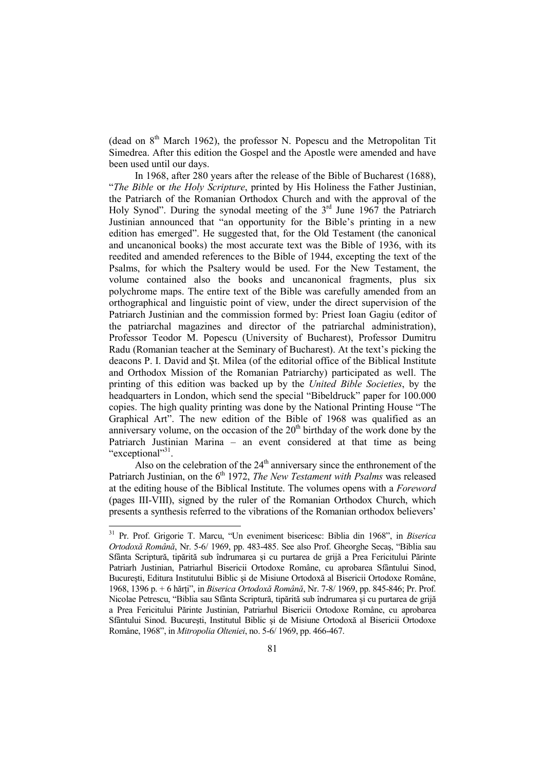(dead on  $8<sup>th</sup>$  March 1962), the professor N. Popescu and the Metropolitan Tit Simedrea. After this edition the Gospel and the Apostle were amended and have been used until our days.

In 1968, after 280 years after the release of the Bible of Bucharest (1688), "*The Bible* or *the Holy Scripture*, printed by His Holiness the Father Justinian, the Patriarch of the Romanian Orthodox Church and with the approval of the Holy Synod". During the synodal meeting of the  $3<sup>rd</sup>$  June 1967 the Patriarch Justinian announced that "an opportunity for the Bible's printing in a new edition has emerged". He suggested that, for the Old Testament (the canonical and uncanonical books) the most accurate text was the Bible of 1936, with its reedited and amended references to the Bible of 1944, excepting the text of the Psalms, for which the Psaltery would be used. For the New Testament, the volume contained also the books and uncanonical fragments, plus six polychrome maps. The entire text of the Bible was carefully amended from an orthographical and linguistic point of view, under the direct supervision of the Patriarch Justinian and the commission formed by: Priest Ioan Gagiu (editor of the patriarchal magazines and director of the patriarchal administration), Professor Teodor M. Popescu (University of Bucharest), Professor Dumitru Radu (Romanian teacher at the Seminary of Bucharest). At the text's picking the deacons P. I. David and Şt. Milea (of the editorial office of the Biblical Institute and Orthodox Mission of the Romanian Patriarchy) participated as well. The printing of this edition was backed up by the *United Bible Societies*, by the headquarters in London, which send the special "Bibeldruck" paper for 100.000 copies. The high quality printing was done by the National Printing House "The Graphical Art". The new edition of the Bible of 1968 was qualified as an anniversary volume, on the occasion of the  $20<sup>th</sup>$  birthday of the work done by the Patriarch Justinian Marina – an event considered at that time as being "exceptional"<sup>31</sup>.

Also on the celebration of the  $24<sup>th</sup>$  anniversary since the enthronement of the Patriarch Justinian, on the 6<sup>th</sup> 1972, *The New Testament with Psalms* was released at the editing house of the Biblical Institute. The volumes opens with a *Foreword* (pages III-VIII), signed by the ruler of the Romanian Orthodox Church, which presents a synthesis referred to the vibrations of the Romanian orthodox believers'

1

<sup>31</sup> Pr. Prof. Grigorie T. Marcu, "Un eveniment bisericesc: Biblia din 1968", in *Biserica Ortodoxă Română*, Nr. 5-6/ 1969, pp. 483-485. See also Prof. Gheorghe Secaş, "Biblia sau Sfânta Scriptură, tipărită sub îndrumarea şi cu purtarea de grijă a Prea Fericitului Părinte Patriarh Justinian, Patriarhul Bisericii Ortodoxe Române, cu aprobarea Sfântului Sinod, Bucureşti, Editura Institutului Biblic şi de Misiune Ortodoxă al Bisericii Ortodoxe Române, 1968, 1396 p. + 6 hărti", in *Biserica Ortodoxă Română*, Nr. 7-8/ 1969, pp. 845-846; Pr. Prof. Nicolae Petrescu, "Biblia sau Sfânta Scriptură, tipărită sub îndrumarea şi cu purtarea de grijă a Prea Fericitului Părinte Justinian, Patriarhul Bisericii Ortodoxe Române, cu aprobarea Sfântului Sinod. Bucureşti, Institutul Biblic şi de Misiune Ortodoxă al Bisericii Ortodoxe Române, 1968", in *Mitropolia Olteniei*, no. 5-6/ 1969, pp. 466-467.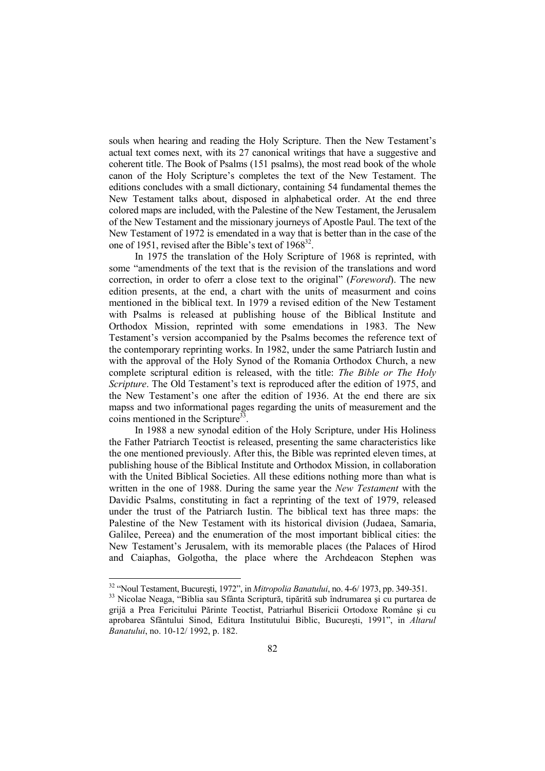souls when hearing and reading the Holy Scripture. Then the New Testament's actual text comes next, with its 27 canonical writings that have a suggestive and coherent title. The Book of Psalms (151 psalms), the most read book of the whole canon of the Holy Scripture's completes the text of the New Testament. The editions concludes with a small dictionary, containing 54 fundamental themes the New Testament talks about, disposed in alphabetical order. At the end three colored maps are included, with the Palestine of the New Testament, the Jerusalem of the New Testament and the missionary journeys of Apostle Paul. The text of the New Testament of 1972 is emendated in a way that is better than in the case of the one of 1951, revised after the Bible's text of  $1968^{32}$ .

In 1975 the translation of the Holy Scripture of 1968 is reprinted, with some "amendments of the text that is the revision of the translations and word correction, in order to oferr a close text to the original" (*Foreword*). The new edition presents, at the end, a chart with the units of measurment and coins mentioned in the biblical text. In 1979 a revised edition of the New Testament with Psalms is released at publishing house of the Biblical Institute and Orthodox Mission, reprinted with some emendations in 1983. The New Testament's version accompanied by the Psalms becomes the reference text of the contemporary reprinting works. In 1982, under the same Patriarch Iustin and with the approval of the Holy Synod of the Romania Orthodox Church, a new complete scriptural edition is released, with the title: *The Bible or The Holy Scripture*. The Old Testament's text is reproduced after the edition of 1975, and the New Testament's one after the edition of 1936. At the end there are six mapss and two informational pages regarding the units of measurement and the coins mentioned in the Scripture<sup>33</sup>.

In 1988 a new synodal edition of the Holy Scripture, under His Holiness the Father Patriarch Teoctist is released, presenting the same characteristics like the one mentioned previously. After this, the Bible was reprinted eleven times, at publishing house of the Biblical Institute and Orthodox Mission, in collaboration with the United Biblical Societies. All these editions nothing more than what is written in the one of 1988. During the same year the *New Testament* with the Davidic Psalms, constituting in fact a reprinting of the text of 1979, released under the trust of the Patriarch Iustin. The biblical text has three maps: the Palestine of the New Testament with its historical division (Judaea, Samaria, Galilee, Pereea) and the enumeration of the most important biblical cities: the New Testament's Jerusalem, with its memorable places (the Palaces of Hirod and Caiaphas, Golgotha, the place where the Archdeacon Stephen was

<sup>32</sup> "Noul Testament, Bucureşti, 1972", in *Mitropolia Banatului*, no. 4-6/ 1973, pp. 349-351.

<sup>33</sup> Nicolae Neaga, "Biblia sau Sfânta Scriptură, tipărită sub îndrumarea şi cu purtarea de grijă a Prea Fericitului Părinte Teoctist, Patriarhul Bisericii Ortodoxe Române şi cu aprobarea Sfântului Sinod, Editura Institutului Biblic, Bucureşti, 1991", in *Altarul Banatului*, no. 10-12/ 1992, p. 182.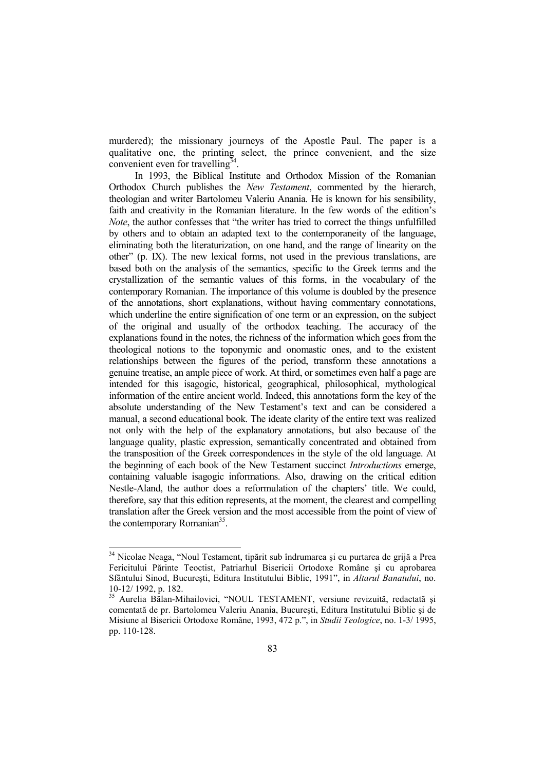murdered); the missionary journeys of the Apostle Paul. The paper is a qualitative one, the printing select, the prince convenient, and the size convenient even for travelling $34$ .

In 1993, the Biblical Institute and Orthodox Mission of the Romanian Orthodox Church publishes the *New Testament*, commented by the hierarch, theologian and writer Bartolomeu Valeriu Anania. He is known for his sensibility, faith and creativity in the Romanian literature. In the few words of the edition's *Note*, the author confesses that "the writer has tried to correct the things unfulfilled by others and to obtain an adapted text to the contemporaneity of the language, eliminating both the literaturization, on one hand, and the range of linearity on the other" (p. IX). The new lexical forms, not used in the previous translations, are based both on the analysis of the semantics, specific to the Greek terms and the crystallization of the semantic values of this forms, in the vocabulary of the contemporary Romanian. The importance of this volume is doubled by the presence of the annotations, short explanations, without having commentary connotations, which underline the entire signification of one term or an expression, on the subject of the original and usually of the orthodox teaching. The accuracy of the explanations found in the notes, the richness of the information which goes from the theological notions to the toponymic and onomastic ones, and to the existent relationships between the figures of the period, transform these annotations a genuine treatise, an ample piece of work. At third, or sometimes even half a page are intended for this isagogic, historical, geographical, philosophical, mythological information of the entire ancient world. Indeed, this annotations form the key of the absolute understanding of the New Testament's text and can be considered a manual, a second educational book. The ideate clarity of the entire text was realized not only with the help of the explanatory annotations, but also because of the language quality, plastic expression, semantically concentrated and obtained from the transposition of the Greek correspondences in the style of the old language. At the beginning of each book of the New Testament succinct *Introductions* emerge, containing valuable isagogic informations. Also, drawing on the critical edition Nestle-Aland, the author does a reformulation of the chapters' title. We could, therefore, say that this edition represents, at the moment, the clearest and compelling translation after the Greek version and the most accessible from the point of view of the contemporary Romanian<sup>35</sup>.

<sup>&</sup>lt;sup>34</sup> Nicolae Neaga, "Noul Testament, tipărit sub îndrumarea și cu purtarea de grijă a Prea Fericitului Părinte Teoctist, Patriarhul Bisericii Ortodoxe Române şi cu aprobarea Sfântului Sinod, Bucureşti, Editura Institutului Biblic, 1991", in *Altarul Banatului*, no. 10-12/ 1992, p. 182.

<sup>&</sup>lt;sup>35</sup> Aurelia Bălan-Mihailovici, "NOUL TESTAMENT, versiune revizuită, redactată și comentată de pr. Bartolomeu Valeriu Anania, Bucureşti, Editura Institutului Biblic şi de Misiune al Bisericii Ortodoxe Române, 1993, 472 p.", in *Studii Teologice*, no. 1-3/ 1995, pp. 110-128.